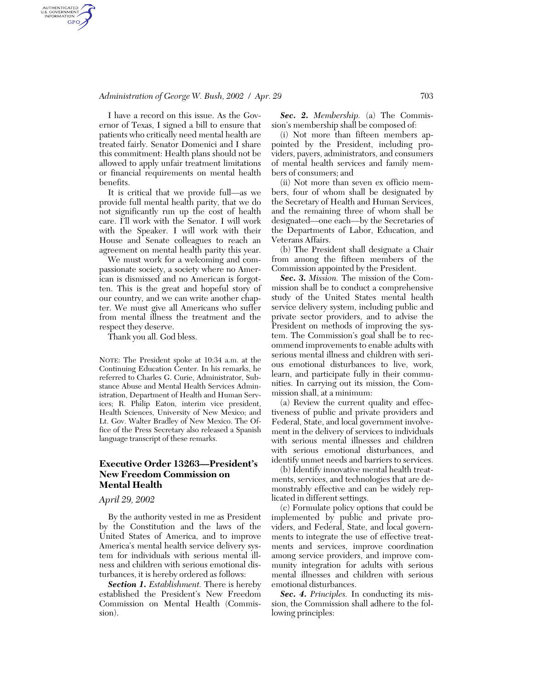## *Administration of George W. Bush, 2002 / Apr. 29* 703

AUTHENTICATED<br>U.S. GOVERNMENT<br>INFORMATION **GPO** 

> I have a record on this issue. As the Governor of Texas, I signed a bill to ensure that patients who critically need mental health are treated fairly. Senator Domenici and I share this commitment: Health plans should not be allowed to apply unfair treatment limitations or financial requirements on mental health benefits.

> It is critical that we provide full—as we provide full mental health parity, that we do not significantly run up the cost of health care. I'll work with the Senator. I will work with the Speaker. I will work with their House and Senate colleagues to reach an agreement on mental health parity this year.

> We must work for a welcoming and compassionate society, a society where no American is dismissed and no American is forgotten. This is the great and hopeful story of our country, and we can write another chapter. We must give all Americans who suffer from mental illness the treatment and the respect they deserve.

Thank you all. God bless.

NOTE: The President spoke at 10:34 a.m. at the Continuing Education Center. In his remarks, he referred to Charles G. Curie, Administrator, Substance Abuse and Mental Health Services Administration, Department of Health and Human Services; R. Philip Eaton, interim vice president, Health Sciences, University of New Mexico; and Lt. Gov. Walter Bradley of New Mexico. The Office of the Press Secretary also released a Spanish language transcript of these remarks.

# **Executive Order 13263—President's New Freedom Commission on Mental Health**

#### *April 29, 2002*

By the authority vested in me as President by the Constitution and the laws of the United States of America, and to improve America's mental health service delivery system for individuals with serious mental illness and children with serious emotional disturbances, it is hereby ordered as follows:

*Section 1. Establishment.* There is hereby established the President's New Freedom Commission on Mental Health (Commission).

*Sec. 2. Membership.* (a) The Commission's membership shall be composed of:

(i) Not more than fifteen members appointed by the President, including providers, payers, administrators, and consumers of mental health services and family members of consumers; and

(ii) Not more than seven ex officio members, four of whom shall be designated by the Secretary of Health and Human Services, and the remaining three of whom shall be designated—one each—by the Secretaries of the Departments of Labor, Education, and Veterans Affairs.

(b) The President shall designate a Chair from among the fifteen members of the Commission appointed by the President.

*Sec. 3. Mission.* The mission of the Commission shall be to conduct a comprehensive study of the United States mental health service delivery system, including public and private sector providers, and to advise the President on methods of improving the system. The Commission's goal shall be to recommend improvements to enable adults with serious mental illness and children with serious emotional disturbances to live, work, learn, and participate fully in their communities. In carrying out its mission, the Commission shall, at a minimum:

(a) Review the current quality and effectiveness of public and private providers and Federal, State, and local government involvement in the delivery of services to individuals with serious mental illnesses and children with serious emotional disturbances, and identify unmet needs and barriers to services.

(b) Identify innovative mental health treatments, services, and technologies that are demonstrably effective and can be widely replicated in different settings.

(c) Formulate policy options that could be implemented by public and private providers, and Federal, State, and local governments to integrate the use of effective treatments and services, improve coordination among service providers, and improve community integration for adults with serious mental illnesses and children with serious emotional disturbances.

*Sec. 4. Principles.* In conducting its mission, the Commission shall adhere to the following principles: